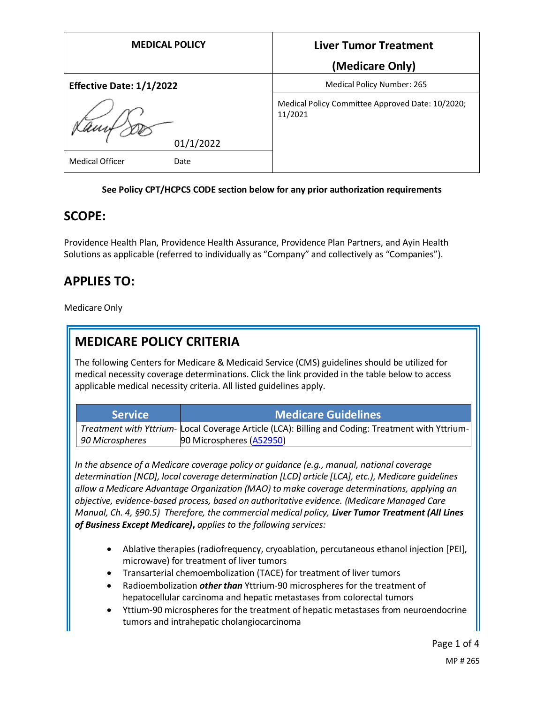| <b>MEDICAL POLICY</b>          | <b>Liver Tumor Treatment</b>                                |  |
|--------------------------------|-------------------------------------------------------------|--|
|                                | (Medicare Only)                                             |  |
| Effective Date: 1/1/2022       | Medical Policy Number: 265                                  |  |
|                                | Medical Policy Committee Approved Date: 10/2020;<br>11/2021 |  |
| 01/1/2022                      |                                                             |  |
| <b>Medical Officer</b><br>Date |                                                             |  |

#### **See Policy CPT/HCPCS CODE section below for any prior authorization requirements**

### **SCOPE:**

Providence Health Plan, Providence Health Assurance, Providence Plan Partners, and Ayin Health Solutions as applicable (referred to individually as "Company" and collectively as "Companies").

# **APPLIES TO:**

Medicare Only

# **MEDICARE POLICY CRITERIA**

The following Centers for Medicare & Medicaid Service (CMS) guidelines should be utilized for medical necessity coverage determinations. Click the link provided in the table below to access applicable medical necessity criteria. All listed guidelines apply.

| <b>Service</b>  | <b>Medicare Guidelines</b>                                                                        |
|-----------------|---------------------------------------------------------------------------------------------------|
|                 | Treatment with Yttrium- Local Coverage Article (LCA): Billing and Coding: Treatment with Yttrium- |
| 90 Microspheres | 90 Microspheres (A52950)                                                                          |

*In the absence of a Medicare coverage policy or guidance (e.g., manual, national coverage determination [NCD], local coverage determination [LCD] article [LCA], etc.), Medicare guidelines allow a Medicare Advantage Organization (MAO) to make coverage determinations, applying an objective, evidence-based process, based on authoritative evidence. (Medicare Managed Care Manual, Ch. 4, §90.5) Therefore, the commercial medical policy, Liver Tumor Treatment (All Lines of Business Except Medicare)***,** *applies to the following services:*

- Ablative therapies (radiofrequency, cryoablation, percutaneous ethanol injection [PEI], microwave) for treatment of liver tumors
- Transarterial chemoembolization (TACE) for treatment of liver tumors
- Radioembolization *other than* Yttrium-90 microspheres for the treatment of hepatocellular carcinoma and hepatic metastases from colorectal tumors
- Yttium-90 microspheres for the treatment of hepatic metastases from neuroendocrine tumors and intrahepatic cholangiocarcinoma

Page 1 of 4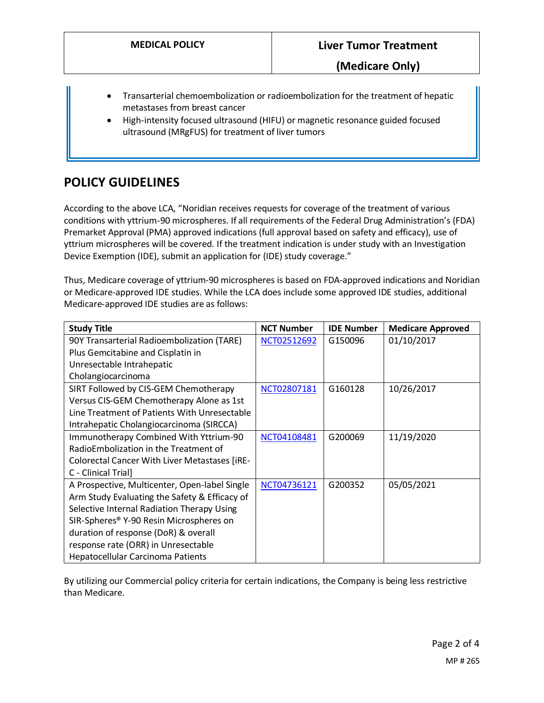- Transarterial chemoembolization or radioembolization for the treatment of hepatic metastases from breast cancer
- High-intensity focused ultrasound (HIFU) or magnetic resonance guided focused ultrasound (MRgFUS) for treatment of liver tumors

# **POLICY GUIDELINES**

According to the above LCA, "Noridian receives requests for coverage of the treatment of various conditions with yttrium-90 microspheres. If all requirements of the Federal Drug Administration's (FDA) Premarket Approval (PMA) approved indications (full approval based on safety and efficacy), use of yttrium microspheres will be covered. If the treatment indication is under study with an Investigation Device Exemption (IDE), submit an application for (IDE) study coverage."

Thus, Medicare coverage of yttrium-90 microspheres is based on FDA-approved indications and Noridian or Medicare-approved IDE studies. While the LCA does include some approved IDE studies, additional Medicare-approved IDE studies are as follows:

| <b>Study Title</b>                                  | <b>NCT Number</b> | <b>IDE Number</b> | <b>Medicare Approved</b> |
|-----------------------------------------------------|-------------------|-------------------|--------------------------|
| 90Y Transarterial Radioembolization (TARE)          | NCT02512692       | G150096           | 01/10/2017               |
| Plus Gemcitabine and Cisplatin in                   |                   |                   |                          |
| Unresectable Intrahepatic                           |                   |                   |                          |
| Cholangiocarcinoma                                  |                   |                   |                          |
| SIRT Followed by CIS-GEM Chemotherapy               | NCT02807181       | G160128           | 10/26/2017               |
| Versus CIS-GEM Chemotherapy Alone as 1st            |                   |                   |                          |
| Line Treatment of Patients With Unresectable        |                   |                   |                          |
| Intrahepatic Cholangiocarcinoma (SIRCCA)            |                   |                   |                          |
| Immunotherapy Combined With Yttrium-90              | NCT04108481       | G200069           | 11/19/2020               |
| RadioEmbolization in the Treatment of               |                   |                   |                          |
| Colorectal Cancer With Liver Metastases [iRE-       |                   |                   |                          |
| C - Clinical Trial]                                 |                   |                   |                          |
| A Prospective, Multicenter, Open-label Single       | NCT04736121       | G200352           | 05/05/2021               |
| Arm Study Evaluating the Safety & Efficacy of       |                   |                   |                          |
| Selective Internal Radiation Therapy Using          |                   |                   |                          |
| SIR-Spheres <sup>®</sup> Y-90 Resin Microspheres on |                   |                   |                          |
| duration of response (DoR) & overall                |                   |                   |                          |
| response rate (ORR) in Unresectable                 |                   |                   |                          |
| <b>Hepatocellular Carcinoma Patients</b>            |                   |                   |                          |

By utilizing our Commercial policy criteria for certain indications, the Company is being less restrictive than Medicare.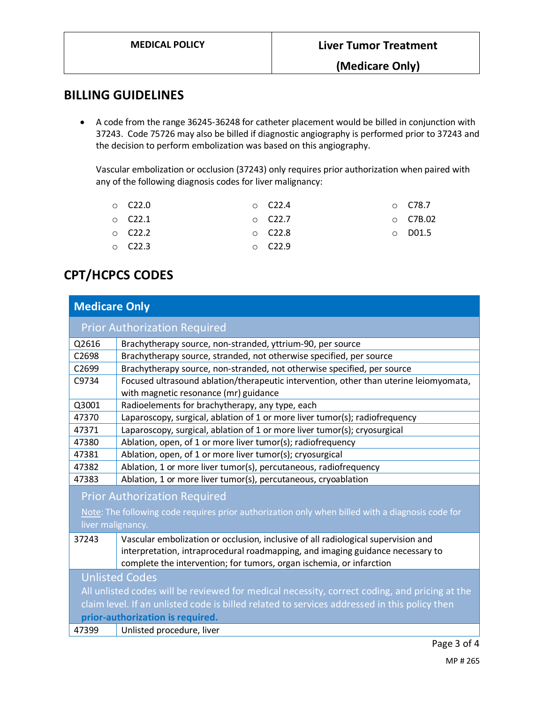**(Medicare Only)**

## **BILLING GUIDELINES**

• A code from the range 36245-36248 for catheter placement would be billed in conjunction with 37243. Code 75726 may also be billed if diagnostic angiography is performed prior to 37243 and the decision to perform embolization was based on this angiography.

Vascular embolization or occlusion (37243) only requires prior authorization when paired with any of the following diagnosis codes for liver malignancy:

| ○ C22.0       | $\circ$ C22.4 | $\circ$ C78.7  |
|---------------|---------------|----------------|
| ○ C22.1       | $\circ$ C22.7 | $\circ$ C7B.02 |
| ○ C22.2       | $\circ$ C22.8 | $\circ$ DO1.5  |
| $\circ$ C22.3 | $\circ$ C22.9 |                |

# **CPT/HCPCS CODES**

|                   | <b>Medicare Only</b>                                                                                                                                                                                                                        |  |  |
|-------------------|---------------------------------------------------------------------------------------------------------------------------------------------------------------------------------------------------------------------------------------------|--|--|
|                   | <b>Prior Authorization Required</b>                                                                                                                                                                                                         |  |  |
| Q2616             | Brachytherapy source, non-stranded, yttrium-90, per source                                                                                                                                                                                  |  |  |
| C <sub>2698</sub> | Brachytherapy source, stranded, not otherwise specified, per source                                                                                                                                                                         |  |  |
| C2699             | Brachytherapy source, non-stranded, not otherwise specified, per source                                                                                                                                                                     |  |  |
| C9734             | Focused ultrasound ablation/therapeutic intervention, other than uterine leiomyomata,                                                                                                                                                       |  |  |
|                   | with magnetic resonance (mr) guidance                                                                                                                                                                                                       |  |  |
| Q3001             | Radioelements for brachytherapy, any type, each                                                                                                                                                                                             |  |  |
| 47370             | Laparoscopy, surgical, ablation of 1 or more liver tumor(s); radiofrequency                                                                                                                                                                 |  |  |
| 47371             | Laparoscopy, surgical, ablation of 1 or more liver tumor(s); cryosurgical                                                                                                                                                                   |  |  |
| 47380             | Ablation, open, of 1 or more liver tumor(s); radiofrequency                                                                                                                                                                                 |  |  |
| 47381             | Ablation, open, of 1 or more liver tumor(s); cryosurgical                                                                                                                                                                                   |  |  |
| 47382             | Ablation, 1 or more liver tumor(s), percutaneous, radiofrequency                                                                                                                                                                            |  |  |
| 47383             | Ablation, 1 or more liver tumor(s), percutaneous, cryoablation                                                                                                                                                                              |  |  |
|                   | <b>Prior Authorization Required</b>                                                                                                                                                                                                         |  |  |
|                   | Note: The following code requires prior authorization only when billed with a diagnosis code for                                                                                                                                            |  |  |
| liver malignancy. |                                                                                                                                                                                                                                             |  |  |
| 37243             | Vascular embolization or occlusion, inclusive of all radiological supervision and<br>interpretation, intraprocedural roadmapping, and imaging guidance necessary to<br>complete the intervention; for tumors, organ ischemia, or infarction |  |  |
|                   | <b>Unlisted Codes</b>                                                                                                                                                                                                                       |  |  |
|                   | All unlisted codes will be reviewed for medical necessity, correct coding, and pricing at the                                                                                                                                               |  |  |
|                   | claim level. If an unlisted code is billed related to services addressed in this policy then                                                                                                                                                |  |  |
|                   | prior-authorization is required.                                                                                                                                                                                                            |  |  |
| 47399             | Unlisted procedure, liver                                                                                                                                                                                                                   |  |  |